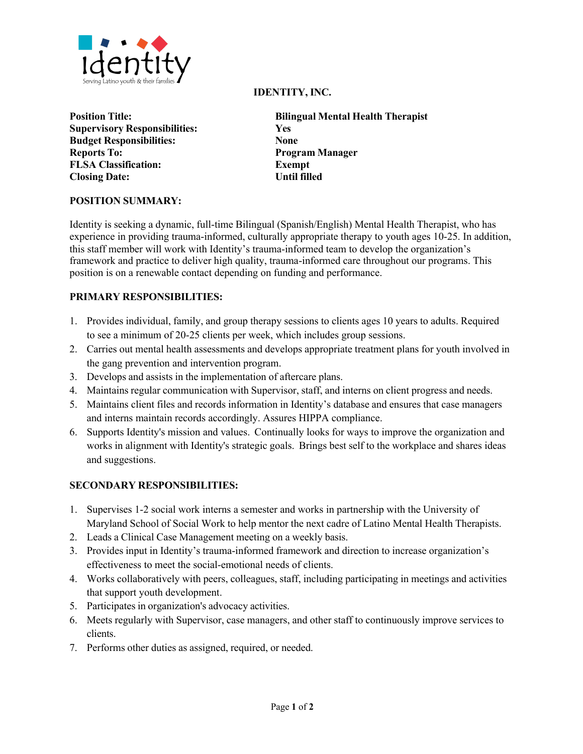

**Position Title: Supervisory Responsibilities: Budget Responsibilities: Reports To: FLSA Classification: Closing Date:** 

#### **IDENTITY, INC.**

| <b>Bilingual Mental Health Therapist</b> |
|------------------------------------------|
| <b>Yes</b>                               |
| <b>None</b>                              |
| <b>Program Manager</b>                   |
| <b>Exempt</b>                            |
| Until filled                             |

#### **POSITION SUMMARY:**

Identity is seeking a dynamic, full-time Bilingual (Spanish/English) Mental Health Therapist, who has experience in providing trauma-informed, culturally appropriate therapy to youth ages 10-25. In addition, this staff member will work with Identity's trauma-informed team to develop the organization's framework and practice to deliver high quality, trauma-informed care throughout our programs. This position is on a renewable contact depending on funding and performance.

#### **PRIMARY RESPONSIBILITIES:**

- 1. Provides individual, family, and group therapy sessions to clients ages 10 years to adults. Required to see a minimum of 20-25 clients per week, which includes group sessions.
- 2. Carries out mental health assessments and develops appropriate treatment plans for youth involved in the gang prevention and intervention program.
- 3. Develops and assists in the implementation of aftercare plans.
- 4. Maintains regular communication with Supervisor, staff, and interns on client progress and needs.
- 5. Maintains client files and records information in Identity's database and ensures that case managers and interns maintain records accordingly. Assures HIPPA compliance.
- 6. Supports Identity's mission and values. Continually looks for ways to improve the organization and works in alignment with Identity's strategic goals. Brings best self to the workplace and shares ideas and suggestions.

# **SECONDARY RESPONSIBILITIES:**

- 1. Supervises 1-2 social work interns a semester and works in partnership with the University of Maryland School of Social Work to help mentor the next cadre of Latino Mental Health Therapists.
- 2. Leads a Clinical Case Management meeting on a weekly basis.
- 3. Provides input in Identity's trauma-informed framework and direction to increase organization's effectiveness to meet the social-emotional needs of clients.
- 4. Works collaboratively with peers, colleagues, staff, including participating in meetings and activities that support youth development.
- 5. Participates in organization's advocacy activities.
- 6. Meets regularly with Supervisor, case managers, and other staff to continuously improve services to clients.
- 7. Performs other duties as assigned, required, or needed.